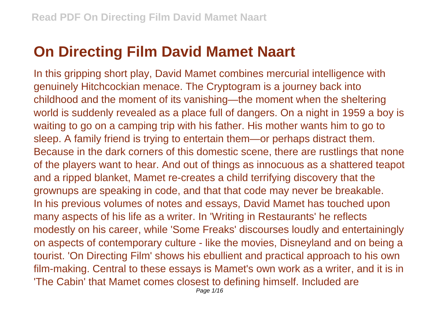## **On Directing Film David Mamet Naart**

In this gripping short play, David Mamet combines mercurial intelligence with genuinely Hitchcockian menace. The Cryptogram is a journey back into childhood and the moment of its vanishing—the moment when the sheltering world is suddenly revealed as a place full of dangers. On a night in 1959 a boy is waiting to go on a camping trip with his father. His mother wants him to go to sleep. A family friend is trying to entertain them—or perhaps distract them. Because in the dark corners of this domestic scene, there are rustlings that none of the players want to hear. And out of things as innocuous as a shattered teapot and a ripped blanket, Mamet re-creates a child terrifying discovery that the grownups are speaking in code, and that that code may never be breakable. In his previous volumes of notes and essays, David Mamet has touched upon many aspects of his life as a writer. In 'Writing in Restaurants' he reflects modestly on his career, while 'Some Freaks' discourses loudly and entertainingly on aspects of contemporary culture - like the movies, Disneyland and on being a tourist. 'On Directing Film' shows his ebullient and practical approach to his own film-making. Central to these essays is Mamet's own work as a writer, and it is in 'The Cabin' that Mamet comes closest to defining himself. Included are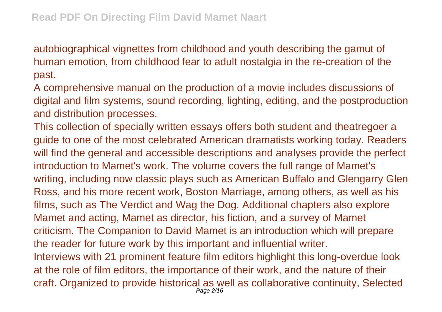autobiographical vignettes from childhood and youth describing the gamut of human emotion, from childhood fear to adult nostalgia in the re-creation of the past.

A comprehensive manual on the production of a movie includes discussions of digital and film systems, sound recording, lighting, editing, and the postproduction and distribution processes.

This collection of specially written essays offers both student and theatregoer a guide to one of the most celebrated American dramatists working today. Readers will find the general and accessible descriptions and analyses provide the perfect introduction to Mamet's work. The volume covers the full range of Mamet's writing, including now classic plays such as American Buffalo and Glengarry Glen Ross, and his more recent work, Boston Marriage, among others, as well as his films, such as The Verdict and Wag the Dog. Additional chapters also explore Mamet and acting, Mamet as director, his fiction, and a survey of Mamet criticism. The Companion to David Mamet is an introduction which will prepare the reader for future work by this important and influential writer. Interviews with 21 prominent feature film editors highlight this long-overdue look at the role of film editors, the importance of their work, and the nature of their craft. Organized to provide historical as well as collaborative continuity, Selected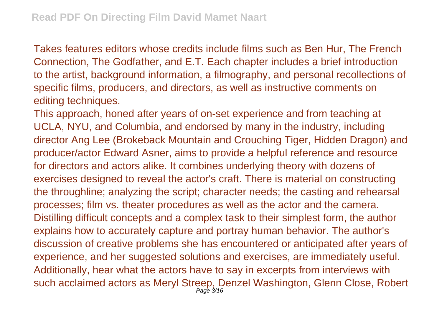Takes features editors whose credits include films such as Ben Hur, The French Connection, The Godfather, and E.T. Each chapter includes a brief introduction to the artist, background information, a filmography, and personal recollections of specific films, producers, and directors, as well as instructive comments on editing techniques.

This approach, honed after years of on-set experience and from teaching at UCLA, NYU, and Columbia, and endorsed by many in the industry, including director Ang Lee (Brokeback Mountain and Crouching Tiger, Hidden Dragon) and producer/actor Edward Asner, aims to provide a helpful reference and resource for directors and actors alike. It combines underlying theory with dozens of exercises designed to reveal the actor's craft. There is material on constructing the throughline; analyzing the script; character needs; the casting and rehearsal processes; film vs. theater procedures as well as the actor and the camera. Distilling difficult concepts and a complex task to their simplest form, the author explains how to accurately capture and portray human behavior. The author's discussion of creative problems she has encountered or anticipated after years of experience, and her suggested solutions and exercises, are immediately useful. Additionally, hear what the actors have to say in excerpts from interviews with such acclaimed actors as Meryl Streep, Denzel Washington, Glenn Close, Robert Page 3/16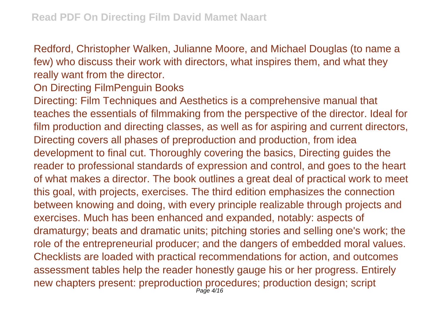Redford, Christopher Walken, Julianne Moore, and Michael Douglas (to name a few) who discuss their work with directors, what inspires them, and what they really want from the director.

## On Directing FilmPenguin Books

Directing: Film Techniques and Aesthetics is a comprehensive manual that teaches the essentials of filmmaking from the perspective of the director. Ideal for film production and directing classes, as well as for aspiring and current directors, Directing covers all phases of preproduction and production, from idea development to final cut. Thoroughly covering the basics, Directing guides the reader to professional standards of expression and control, and goes to the heart of what makes a director. The book outlines a great deal of practical work to meet this goal, with projects, exercises. The third edition emphasizes the connection between knowing and doing, with every principle realizable through projects and exercises. Much has been enhanced and expanded, notably: aspects of dramaturgy; beats and dramatic units; pitching stories and selling one's work; the role of the entrepreneurial producer; and the dangers of embedded moral values. Checklists are loaded with practical recommendations for action, and outcomes assessment tables help the reader honestly gauge his or her progress. Entirely new chapters present: preproduction procedures; production design; script Page 4/16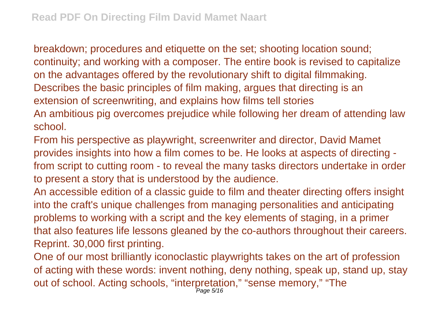breakdown; procedures and etiquette on the set; shooting location sound; continuity; and working with a composer. The entire book is revised to capitalize on the advantages offered by the revolutionary shift to digital filmmaking. Describes the basic principles of film making, argues that directing is an extension of screenwriting, and explains how films tell stories An ambitious pig overcomes prejudice while following her dream of attending law

school.

From his perspective as playwright, screenwriter and director, David Mamet provides insights into how a film comes to be. He looks at aspects of directing from script to cutting room - to reveal the many tasks directors undertake in order to present a story that is understood by the audience.

An accessible edition of a classic guide to film and theater directing offers insight into the craft's unique challenges from managing personalities and anticipating problems to working with a script and the key elements of staging, in a primer that also features life lessons gleaned by the co-authors throughout their careers. Reprint. 30,000 first printing.

One of our most brilliantly iconoclastic playwrights takes on the art of profession of acting with these words: invent nothing, deny nothing, speak up, stand up, stay out of school. Acting schools, "interpretation," "sense memory," "The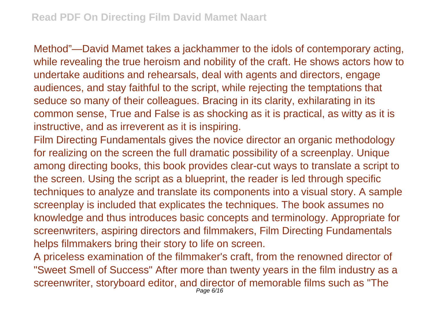Method"—David Mamet takes a jackhammer to the idols of contemporary acting, while revealing the true heroism and nobility of the craft. He shows actors how to undertake auditions and rehearsals, deal with agents and directors, engage audiences, and stay faithful to the script, while rejecting the temptations that seduce so many of their colleagues. Bracing in its clarity, exhilarating in its common sense, True and False is as shocking as it is practical, as witty as it is instructive, and as irreverent as it is inspiring.

Film Directing Fundamentals gives the novice director an organic methodology for realizing on the screen the full dramatic possibility of a screenplay. Unique among directing books, this book provides clear-cut ways to translate a script to the screen. Using the script as a blueprint, the reader is led through specific techniques to analyze and translate its components into a visual story. A sample screenplay is included that explicates the techniques. The book assumes no knowledge and thus introduces basic concepts and terminology. Appropriate for screenwriters, aspiring directors and filmmakers, Film Directing Fundamentals helps filmmakers bring their story to life on screen.

A priceless examination of the filmmaker's craft, from the renowned director of "Sweet Smell of Success" After more than twenty years in the film industry as a screenwriter, storyboard editor, and director of memorable films such as "The Page 6/16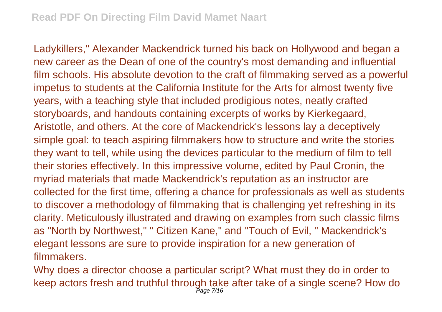Ladykillers," Alexander Mackendrick turned his back on Hollywood and began a new career as the Dean of one of the country's most demanding and influential film schools. His absolute devotion to the craft of filmmaking served as a powerful impetus to students at the California Institute for the Arts for almost twenty five years, with a teaching style that included prodigious notes, neatly crafted storyboards, and handouts containing excerpts of works by Kierkegaard, Aristotle, and others. At the core of Mackendrick's lessons lay a deceptively simple goal: to teach aspiring filmmakers how to structure and write the stories they want to tell, while using the devices particular to the medium of film to tell their stories effectively. In this impressive volume, edited by Paul Cronin, the myriad materials that made Mackendrick's reputation as an instructor are collected for the first time, offering a chance for professionals as well as students to discover a methodology of filmmaking that is challenging yet refreshing in its clarity. Meticulously illustrated and drawing on examples from such classic films as "North by Northwest," " Citizen Kane," and "Touch of Evil, " Mackendrick's elegant lessons are sure to provide inspiration for a new generation of filmmakers.

Why does a director choose a particular script? What must they do in order to keep actors fresh and truthful through take after take of a single scene? How do Page 7/16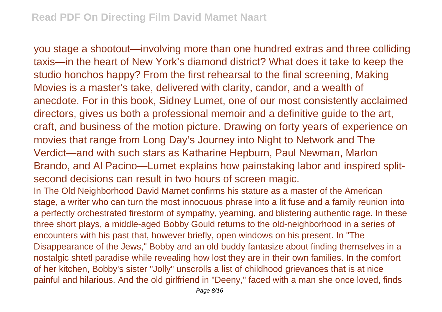you stage a shootout—involving more than one hundred extras and three colliding taxis—in the heart of New York's diamond district? What does it take to keep the studio honchos happy? From the first rehearsal to the final screening, Making Movies is a master's take, delivered with clarity, candor, and a wealth of anecdote. For in this book, Sidney Lumet, one of our most consistently acclaimed directors, gives us both a professional memoir and a definitive guide to the art, craft, and business of the motion picture. Drawing on forty years of experience on movies that range from Long Day's Journey into Night to Network and The Verdict—and with such stars as Katharine Hepburn, Paul Newman, Marlon Brando, and Al Pacino—Lumet explains how painstaking labor and inspired splitsecond decisions can result in two hours of screen magic.

In The Old Neighborhood David Mamet confirms his stature as a master of the American stage, a writer who can turn the most innocuous phrase into a lit fuse and a family reunion into a perfectly orchestrated firestorm of sympathy, yearning, and blistering authentic rage. In these three short plays, a middle-aged Bobby Gould returns to the old-neighborhood in a series of encounters with his past that, however briefly, open windows on his present. In "The Disappearance of the Jews," Bobby and an old buddy fantasize about finding themselves in a nostalgic shtetl paradise while revealing how lost they are in their own families. In the comfort of her kitchen, Bobby's sister "Jolly" unscrolls a list of childhood grievances that is at nice painful and hilarious. And the old girlfriend in "Deeny," faced with a man she once loved, finds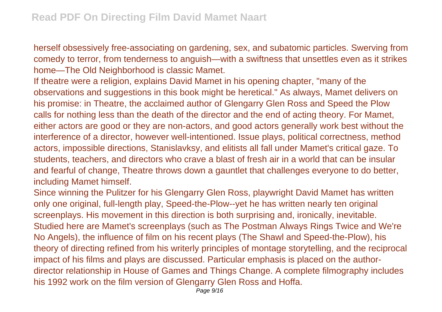herself obsessively free-associating on gardening, sex, and subatomic particles. Swerving from comedy to terror, from tenderness to anguish—with a swiftness that unsettles even as it strikes home—The Old Neighborhood is classic Mamet.

If theatre were a religion, explains David Mamet in his opening chapter, "many of the observations and suggestions in this book might be heretical." As always, Mamet delivers on his promise: in Theatre, the acclaimed author of Glengarry Glen Ross and Speed the Plow calls for nothing less than the death of the director and the end of acting theory. For Mamet, either actors are good or they are non-actors, and good actors generally work best without the interference of a director, however well-intentioned. Issue plays, political correctness, method actors, impossible directions, Stanislavksy, and elitists all fall under Mamet's critical gaze. To students, teachers, and directors who crave a blast of fresh air in a world that can be insular and fearful of change, Theatre throws down a gauntlet that challenges everyone to do better, including Mamet himself.

Since winning the Pulitzer for his Glengarry Glen Ross, playwright David Mamet has written only one original, full-length play, Speed-the-Plow--yet he has written nearly ten original screenplays. His movement in this direction is both surprising and, ironically, inevitable. Studied here are Mamet's screenplays (such as The Postman Always Rings Twice and We're No Angels), the influence of film on his recent plays (The Shawl and Speed-the-Plow), his theory of directing refined from his writerly principles of montage storytelling, and the reciprocal impact of his films and plays are discussed. Particular emphasis is placed on the authordirector relationship in House of Games and Things Change. A complete filmography includes his 1992 work on the film version of Glengarry Glen Ross and Hoffa.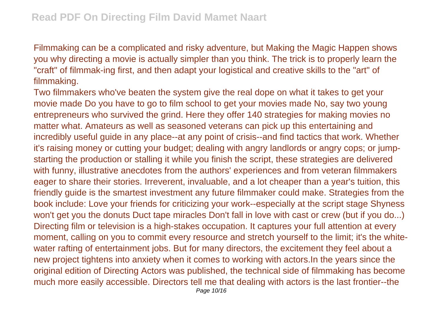Filmmaking can be a complicated and risky adventure, but Making the Magic Happen shows you why directing a movie is actually simpler than you think. The trick is to properly learn the "craft" of filmmak-ing first, and then adapt your logistical and creative skills to the "art" of filmmaking.

Two filmmakers who've beaten the system give the real dope on what it takes to get your movie made Do you have to go to film school to get your movies made No, say two young entrepreneurs who survived the grind. Here they offer 140 strategies for making movies no matter what. Amateurs as well as seasoned veterans can pick up this entertaining and incredibly useful guide in any place--at any point of crisis--and find tactics that work. Whether it's raising money or cutting your budget; dealing with angry landlords or angry cops; or jumpstarting the production or stalling it while you finish the script, these strategies are delivered with funny, illustrative anecdotes from the authors' experiences and from veteran filmmakers eager to share their stories. Irreverent, invaluable, and a lot cheaper than a year's tuition, this friendly guide is the smartest investment any future filmmaker could make. Strategies from the book include: Love your friends for criticizing your work--especially at the script stage Shyness won't get you the donuts Duct tape miracles Don't fall in love with cast or crew (but if you do...) Directing film or television is a high-stakes occupation. It captures your full attention at every moment, calling on you to commit every resource and stretch yourself to the limit; it's the whitewater rafting of entertainment jobs. But for many directors, the excitement they feel about a new project tightens into anxiety when it comes to working with actors.In the years since the original edition of Directing Actors was published, the technical side of filmmaking has become much more easily accessible. Directors tell me that dealing with actors is the last frontier--the Page 10/16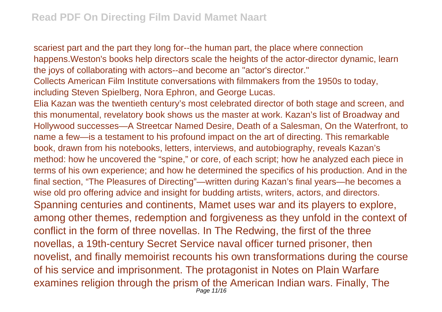scariest part and the part they long for--the human part, the place where connection happens.Weston's books help directors scale the heights of the actor-director dynamic, learn the joys of collaborating with actors--and become an "actor's director."

Collects American Film Institute conversations with filmmakers from the 1950s to today, including Steven Spielberg, Nora Ephron, and George Lucas.

Elia Kazan was the twentieth century's most celebrated director of both stage and screen, and this monumental, revelatory book shows us the master at work. Kazan's list of Broadway and Hollywood successes—A Streetcar Named Desire, Death of a Salesman, On the Waterfront, to name a few—is a testament to his profound impact on the art of directing. This remarkable book, drawn from his notebooks, letters, interviews, and autobiography, reveals Kazan's method: how he uncovered the "spine," or core, of each script; how he analyzed each piece in terms of his own experience; and how he determined the specifics of his production. And in the final section, "The Pleasures of Directing"—written during Kazan's final years—he becomes a wise old pro offering advice and insight for budding artists, writers, actors, and directors. Spanning centuries and continents, Mamet uses war and its players to explore, among other themes, redemption and forgiveness as they unfold in the context of conflict in the form of three novellas. In The Redwing, the first of the three novellas, a 19th-century Secret Service naval officer turned prisoner, then novelist, and finally memoirist recounts his own transformations during the course of his service and imprisonment. The protagonist in Notes on Plain Warfare examines religion through the prism of the American Indian wars. Finally, The Page 11/16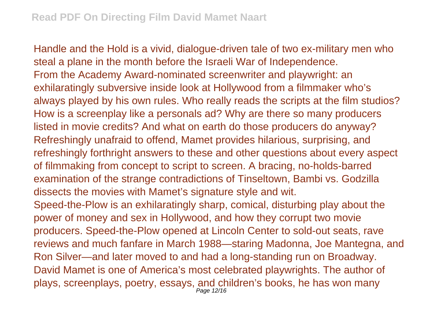Handle and the Hold is a vivid, dialogue-driven tale of two ex-military men who steal a plane in the month before the Israeli War of Independence. From the Academy Award-nominated screenwriter and playwright: an exhilaratingly subversive inside look at Hollywood from a filmmaker who's always played by his own rules. Who really reads the scripts at the film studios? How is a screenplay like a personals ad? Why are there so many producers listed in movie credits? And what on earth do those producers do anyway? Refreshingly unafraid to offend, Mamet provides hilarious, surprising, and refreshingly forthright answers to these and other questions about every aspect of filmmaking from concept to script to screen. A bracing, no-holds-barred examination of the strange contradictions of Tinseltown, Bambi vs. Godzilla dissects the movies with Mamet's signature style and wit. Speed-the-Plow is an exhilaratingly sharp, comical, disturbing play about the power of money and sex in Hollywood, and how they corrupt two movie producers. Speed-the-Plow opened at Lincoln Center to sold-out seats, rave reviews and much fanfare in March 1988—staring Madonna, Joe Mantegna, and Ron Silver—and later moved to and had a long-standing run on Broadway. David Mamet is one of America's most celebrated playwrights. The author of plays, screenplays, poetry, essays, and children's books, he has won many Page 12/16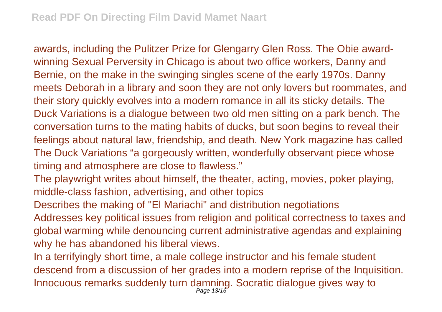awards, including the Pulitzer Prize for Glengarry Glen Ross. The Obie awardwinning Sexual Perversity in Chicago is about two office workers, Danny and Bernie, on the make in the swinging singles scene of the early 1970s. Danny meets Deborah in a library and soon they are not only lovers but roommates, and their story quickly evolves into a modern romance in all its sticky details. The Duck Variations is a dialogue between two old men sitting on a park bench. The conversation turns to the mating habits of ducks, but soon begins to reveal their feelings about natural law, friendship, and death. New York magazine has called The Duck Variations "a gorgeously written, wonderfully observant piece whose timing and atmosphere are close to flawless."

The playwright writes about himself, the theater, acting, movies, poker playing, middle-class fashion, advertising, and other topics

Describes the making of "El Mariachi" and distribution negotiations

Addresses key political issues from religion and political correctness to taxes and global warming while denouncing current administrative agendas and explaining why he has abandoned his liberal views.

In a terrifyingly short time, a male college instructor and his female student descend from a discussion of her grades into a modern reprise of the Inquisition. Innocuous remarks suddenly turn damning. Socratic dialogue gives way to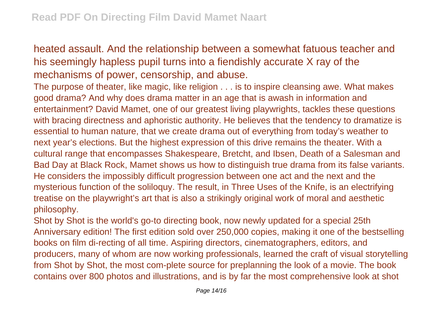heated assault. And the relationship between a somewhat fatuous teacher and his seemingly hapless pupil turns into a fiendishly accurate X ray of the mechanisms of power, censorship, and abuse.

The purpose of theater, like magic, like religion . . . is to inspire cleansing awe. What makes good drama? And why does drama matter in an age that is awash in information and entertainment? David Mamet, one of our greatest living playwrights, tackles these questions with bracing directness and aphoristic authority. He believes that the tendency to dramatize is essential to human nature, that we create drama out of everything from today's weather to next year's elections. But the highest expression of this drive remains the theater. With a cultural range that encompasses Shakespeare, Bretcht, and Ibsen, Death of a Salesman and Bad Day at Black Rock, Mamet shows us how to distinguish true drama from its false variants. He considers the impossibly difficult progression between one act and the next and the mysterious function of the soliloquy. The result, in Three Uses of the Knife, is an electrifying treatise on the playwright's art that is also a strikingly original work of moral and aesthetic philosophy.

Shot by Shot is the world's go-to directing book, now newly updated for a special 25th Anniversary edition! The first edition sold over 250,000 copies, making it one of the bestselling books on film di-recting of all time. Aspiring directors, cinematographers, editors, and producers, many of whom are now working professionals, learned the craft of visual storytelling from Shot by Shot, the most com-plete source for preplanning the look of a movie. The book contains over 800 photos and illustrations, and is by far the most comprehensive look at shot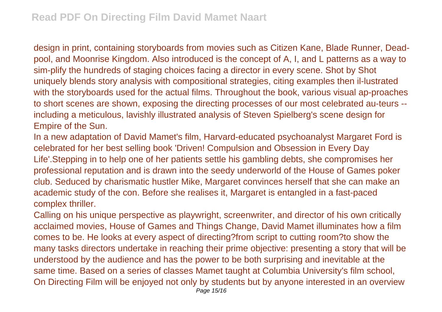design in print, containing storyboards from movies such as Citizen Kane, Blade Runner, Deadpool, and Moonrise Kingdom. Also introduced is the concept of A, I, and L patterns as a way to sim-plify the hundreds of staging choices facing a director in every scene. Shot by Shot uniquely blends story analysis with compositional strategies, citing examples then il-lustrated with the storyboards used for the actual films. Throughout the book, various visual ap-proaches to short scenes are shown, exposing the directing processes of our most celebrated au-teurs - including a meticulous, lavishly illustrated analysis of Steven Spielberg's scene design for Empire of the Sun.

In a new adaptation of David Mamet's film, Harvard-educated psychoanalyst Margaret Ford is celebrated for her best selling book 'Driven! Compulsion and Obsession in Every Day Life'.Stepping in to help one of her patients settle his gambling debts, she compromises her professional reputation and is drawn into the seedy underworld of the House of Games poker club. Seduced by charismatic hustler Mike, Margaret convinces herself that she can make an academic study of the con. Before she realises it, Margaret is entangled in a fast-paced complex thriller.

Calling on his unique perspective as playwright, screenwriter, and director of his own critically acclaimed movies, House of Games and Things Change, David Mamet illuminates how a film comes to be. He looks at every aspect of directing?from script to cutting room?to show the many tasks directors undertake in reaching their prime objective: presenting a story that will be understood by the audience and has the power to be both surprising and inevitable at the same time. Based on a series of classes Mamet taught at Columbia University's film school, On Directing Film will be enjoyed not only by students but by anyone interested in an overview